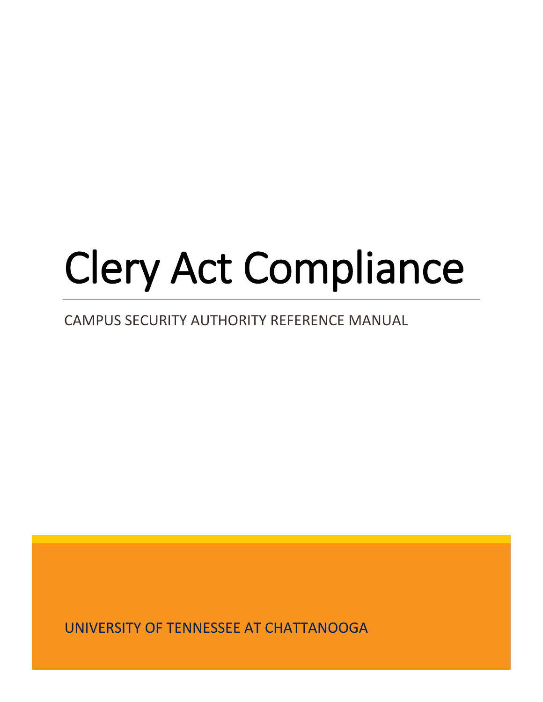# Clery Act Compliance

## CAMPUS SECURITY AUTHORITY REFERENCE MANUAL

UNIVERSITY OF TENNESSEE AT CHATTANOOGA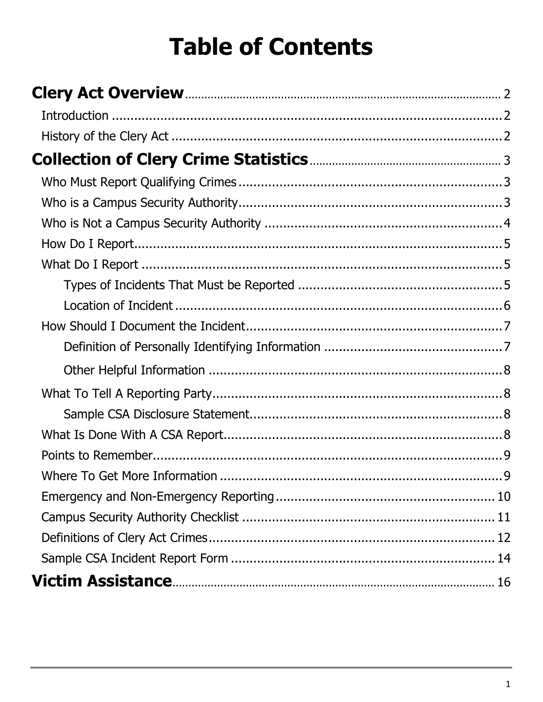## **Table of Contents**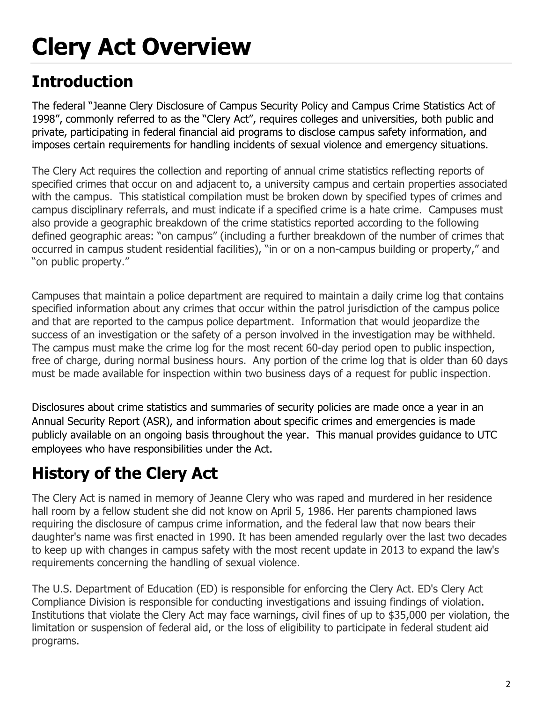## **Clery Act Overview**

## **Introduction**

The federal "Jeanne Clery Disclosure of Campus Security Policy and Campus Crime Statistics Act of 1998", commonly referred to as the "Clery Act", requires colleges and universities, both public and private, participating in federal financial aid programs to disclose campus safety information, and imposes certain requirements for handling incidents of sexual violence and emergency situations.

The Clery Act requires the collection and reporting of annual crime statistics reflecting reports of specified crimes that occur on and adjacent to, a university campus and certain properties associated with the campus. This statistical compilation must be broken down by specified types of crimes and campus disciplinary referrals, and must indicate if a specified crime is a hate crime. Campuses must also provide a geographic breakdown of the crime statistics reported according to the following defined geographic areas: "on campus" (including a further breakdown of the number of crimes that occurred in campus student residential facilities), "in or on a non-campus building or property," and "on public property."

Campuses that maintain a police department are required to maintain a daily crime log that contains specified information about any crimes that occur within the patrol jurisdiction of the campus police and that are reported to the campus police department. Information that would jeopardize the success of an investigation or the safety of a person involved in the investigation may be withheld. The campus must make the crime log for the most recent 60-day period open to public inspection, free of charge, during normal business hours. Any portion of the crime log that is older than 60 days must be made available for inspection within two business days of a request for public inspection.

Disclosures about crime statistics and summaries of security policies are made once a year in an Annual Security Report (ASR), and information about specific crimes and emergencies is made publicly available on an ongoing basis throughout the year. This manual provides guidance to UTC employees who have responsibilities under the Act.

## **History of the Clery Act**

The Clery Act is named in memory of Jeanne Clery who was raped and murdered in her residence hall room by a fellow student she did not know on April 5, 1986. Her parents championed laws requiring the disclosure of campus crime information, and the federal law that now bears their daughter's name was first enacted in 1990. It has been amended regularly over the last two decades to keep up with changes in campus safety with the most recent update in 2013 to expand the law's requirements concerning the handling of sexual violence.

The U.S. Department of Education (ED) is responsible for enforcing the Clery Act. ED's Clery Act Compliance Division is responsible for conducting investigations and issuing findings of violation. Institutions that violate the Clery Act may face warnings, civil fines of up to \$35,000 per violation, the limitation or suspension of federal aid, or the loss of eligibility to participate in federal student aid programs.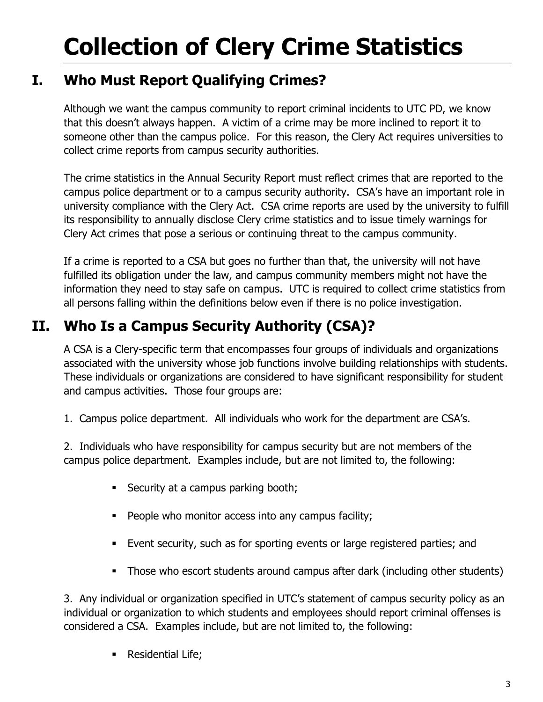## **Collection of Clery Crime Statistics**

## **I. Who Must Report Qualifying Crimes?**

Although we want the campus community to report criminal incidents to UTC PD, we know that this doesn't always happen. A victim of a crime may be more inclined to report it to someone other than the campus police. For this reason, the Clery Act requires universities to collect crime reports from campus security authorities.

The crime statistics in the Annual Security Report must reflect crimes that are reported to the campus police department or to a campus security authority. CSA's have an important role in university compliance with the Clery Act. CSA crime reports are used by the university to fulfill its responsibility to annually disclose Clery crime statistics and to issue timely warnings for Clery Act crimes that pose a serious or continuing threat to the campus community.

If a crime is reported to a CSA but goes no further than that, the university will not have fulfilled its obligation under the law, and campus community members might not have the information they need to stay safe on campus. UTC is required to collect crime statistics from all persons falling within the definitions below even if there is no police investigation.

## **II. Who Is a Campus Security Authority (CSA)?**

A CSA is a Clery-specific term that encompasses four groups of individuals and organizations associated with the university whose job functions involve building relationships with students. These individuals or organizations are considered to have significant responsibility for student and campus activities. Those four groups are:

1. Campus police department. All individuals who work for the department are CSA's.

2. Individuals who have responsibility for campus security but are not members of the campus police department. Examples include, but are not limited to, the following:

- Security at a campus parking booth;
- **People who monitor access into any campus facility;**
- Event security, such as for sporting events or large registered parties; and
- Those who escort students around campus after dark (including other students)

3. Any individual or organization specified in UTC's statement of campus security policy as an individual or organization to which students and employees should report criminal offenses is considered a CSA. Examples include, but are not limited to, the following:

Residential Life;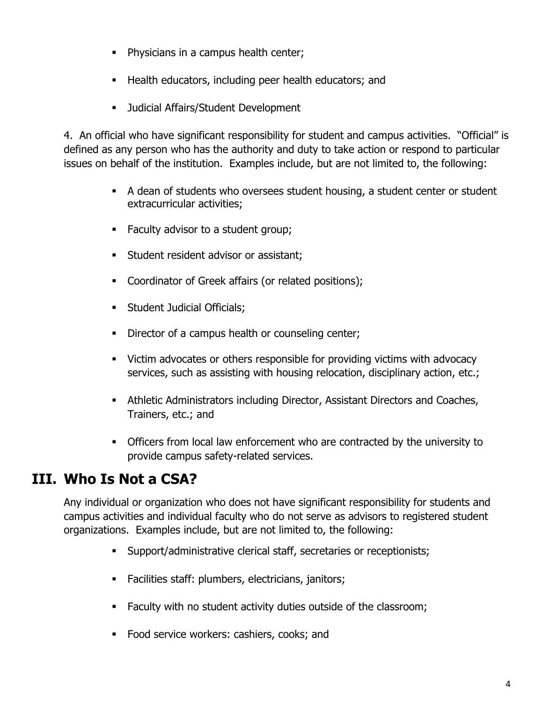- **Physicians in a campus health center;**
- **Health educators, including peer health educators; and**
- **Judicial Affairs/Student Development**

4. An official who have significant responsibility for student and campus activities. "Official" is defined as any person who has the authority and duty to take action or respond to particular issues on behalf of the institution. Examples include, but are not limited to, the following:

- A dean of students who oversees student housing, a student center or student extracurricular activities;
- Faculty advisor to a student group;
- **Student resident advisor or assistant;**
- **Coordinator of Greek affairs (or related positions);**
- **Student Judicial Officials;**
- Director of a campus health or counseling center;
- Victim advocates or others responsible for providing victims with advocacy services, such as assisting with housing relocation, disciplinary action, etc.;
- Athletic Administrators including Director, Assistant Directors and Coaches, Trainers, etc.; and
- Officers from local law enforcement who are contracted by the university to provide campus safety-related services.

## **III. Who Is Not a CSA?**

Any individual or organization who does not have significant responsibility for students and campus activities and individual faculty who do not serve as advisors to registered student organizations. Examples include, but are not limited to, the following:

- Support/administrative clerical staff, secretaries or receptionists;
- **Facilities staff: plumbers, electricians, janitors;**
- **Faculty with no student activity duties outside of the classroom;**
- **Food service workers: cashiers, cooks; and**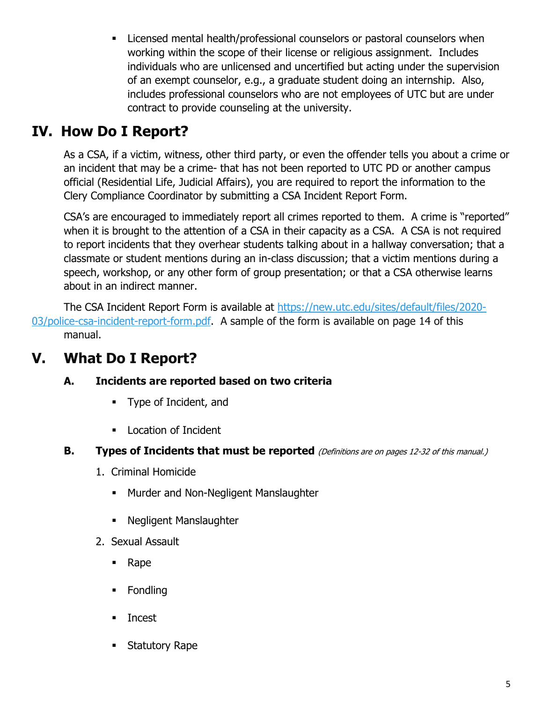**Licensed mental health/professional counselors or pastoral counselors when** working within the scope of their license or religious assignment. Includes individuals who are unlicensed and uncertified but acting under the supervision of an exempt counselor, e.g., a graduate student doing an internship. Also, includes professional counselors who are not employees of UTC but are under contract to provide counseling at the university.

## **IV. How Do I Report?**

As a CSA, if a victim, witness, other third party, or even the offender tells you about a crime or an incident that may be a crime- that has not been reported to UTC PD or another campus official (Residential Life, Judicial Affairs), you are required to report the information to the Clery Compliance Coordinator by submitting a CSA Incident Report Form.

CSA's are encouraged to immediately report all crimes reported to them. A crime is "reported" when it is brought to the attention of a CSA in their capacity as a CSA. A CSA is not required to report incidents that they overhear students talking about in a hallway conversation; that a classmate or student mentions during an in-class discussion; that a victim mentions during a speech, workshop, or any other form of group presentation; or that a CSA otherwise learns about in an indirect manner.

The CSA Incident Report Form is available at [https://new.utc.edu/sites/default/files/2020-](https://new.utc.edu/sites/default/files/2020-03/police-csa-incident-report-form.pdf) [03/police-csa-incident-report-form.pdf.](https://new.utc.edu/sites/default/files/2020-03/police-csa-incident-report-form.pdf) A sample of the form is available on page 14 of this manual.

## **V. What Do I Report?**

#### **A. Incidents are reported based on two criteria**

- **Type of Incident, and**
- **Location of Incident**
- **B. Types of Incidents that must be reported** (Definitions are on pages 12-32 of this manual.)
	- 1. Criminal Homicide
		- **Murder and Non-Negligent Manslaughter**
		- **Negligent Manslaughter**
	- 2. Sexual Assault
		- Rape
		- **Fondling**
		- **Incest**
		- **Statutory Rape**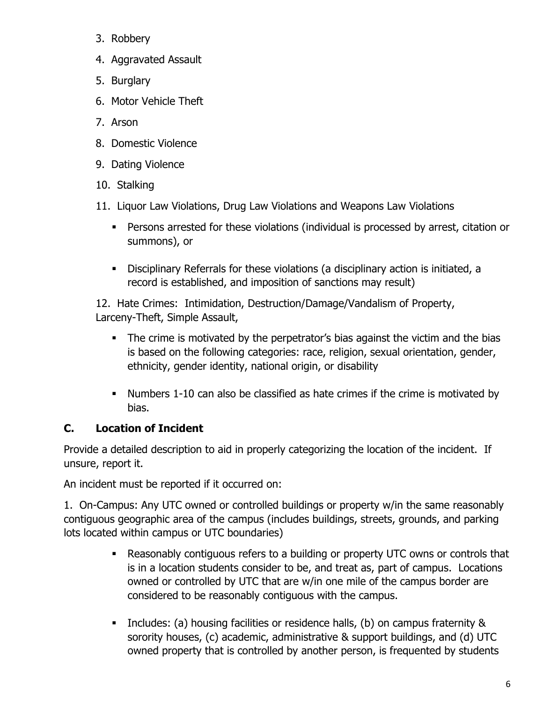- 3. Robbery
- 4. Aggravated Assault
- 5. Burglary
- 6. Motor Vehicle Theft
- 7. Arson
- 8. Domestic Violence
- 9. Dating Violence
- 10. Stalking
- 11. Liquor Law Violations, Drug Law Violations and Weapons Law Violations
	- Persons arrested for these violations (individual is processed by arrest, citation or summons), or
	- Disciplinary Referrals for these violations (a disciplinary action is initiated, a record is established, and imposition of sanctions may result)

12. Hate Crimes: Intimidation, Destruction/Damage/Vandalism of Property, Larceny-Theft, Simple Assault,

- The crime is motivated by the perpetrator's bias against the victim and the bias is based on the following categories: race, religion, sexual orientation, gender, ethnicity, gender identity, national origin, or disability
- Numbers 1-10 can also be classified as hate crimes if the crime is motivated by bias.

#### **C. Location of Incident**

Provide a detailed description to aid in properly categorizing the location of the incident. If unsure, report it.

An incident must be reported if it occurred on:

1. On-Campus: Any UTC owned or controlled buildings or property w/in the same reasonably contiguous geographic area of the campus (includes buildings, streets, grounds, and parking lots located within campus or UTC boundaries)

- Reasonably contiguous refers to a building or property UTC owns or controls that is in a location students consider to be, and treat as, part of campus. Locations owned or controlled by UTC that are w/in one mile of the campus border are considered to be reasonably contiguous with the campus.
- Includes: (a) housing facilities or residence halls, (b) on campus fraternity & sorority houses, (c) academic, administrative & support buildings, and (d) UTC owned property that is controlled by another person, is frequented by students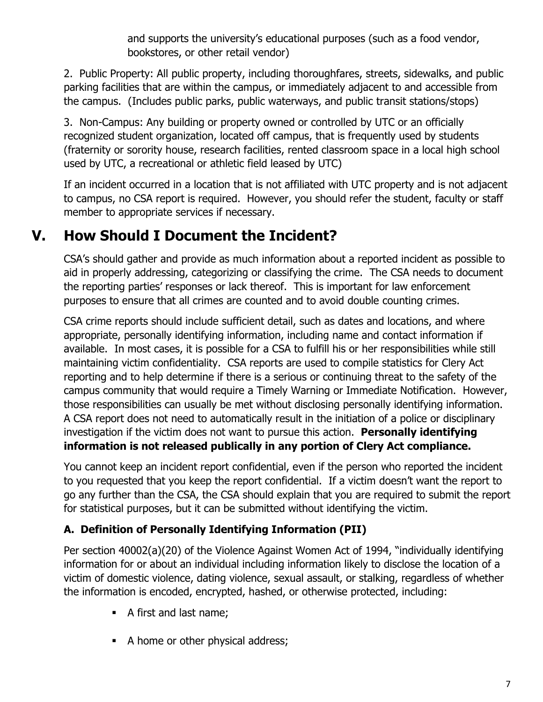and supports the university's educational purposes (such as a food vendor, bookstores, or other retail vendor)

2. Public Property: All public property, including thoroughfares, streets, sidewalks, and public parking facilities that are within the campus, or immediately adjacent to and accessible from the campus. (Includes public parks, public waterways, and public transit stations/stops)

3. Non-Campus: Any building or property owned or controlled by UTC or an officially recognized student organization, located off campus, that is frequently used by students (fraternity or sorority house, research facilities, rented classroom space in a local high school used by UTC, a recreational or athletic field leased by UTC)

If an incident occurred in a location that is not affiliated with UTC property and is not adjacent to campus, no CSA report is required. However, you should refer the student, faculty or staff member to appropriate services if necessary.

## **V. How Should I Document the Incident?**

CSA's should gather and provide as much information about a reported incident as possible to aid in properly addressing, categorizing or classifying the crime. The CSA needs to document the reporting parties' responses or lack thereof. This is important for law enforcement purposes to ensure that all crimes are counted and to avoid double counting crimes.

CSA crime reports should include sufficient detail, such as dates and locations, and where appropriate, personally identifying information, including name and contact information if available. In most cases, it is possible for a CSA to fulfill his or her responsibilities while still maintaining victim confidentiality. CSA reports are used to compile statistics for Clery Act reporting and to help determine if there is a serious or continuing threat to the safety of the campus community that would require a Timely Warning or Immediate Notification. However, those responsibilities can usually be met without disclosing personally identifying information. A CSA report does not need to automatically result in the initiation of a police or disciplinary investigation if the victim does not want to pursue this action. **Personally identifying information is not released publically in any portion of Clery Act compliance.**

You cannot keep an incident report confidential, even if the person who reported the incident to you requested that you keep the report confidential. If a victim doesn't want the report to go any further than the CSA, the CSA should explain that you are required to submit the report for statistical purposes, but it can be submitted without identifying the victim.

#### **A. Definition of Personally Identifying Information (PII)**

Per section 40002(a)(20) of the Violence Against Women Act of 1994, "individually identifying information for or about an individual including information likely to disclose the location of a victim of domestic violence, dating violence, sexual assault, or stalking, regardless of whether the information is encoded, encrypted, hashed, or otherwise protected, including:

- A first and last name;
- A home or other physical address;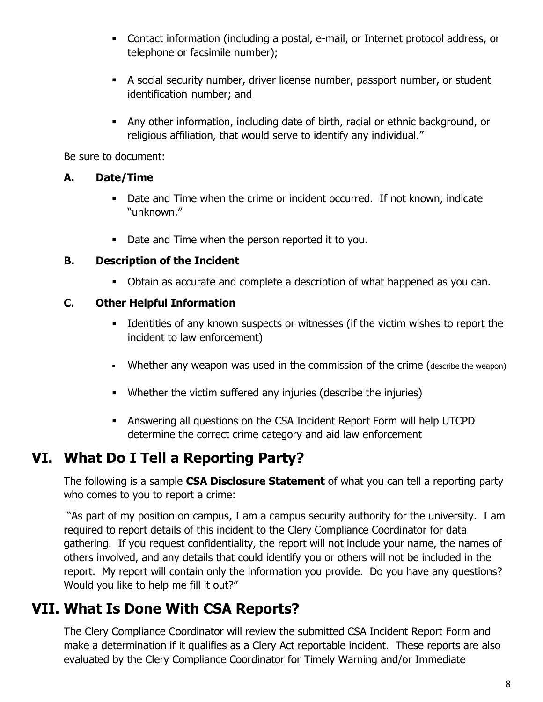- Contact information (including a postal, e-mail, or Internet protocol address, or telephone or facsimile number);
- A social security number, driver license number, passport number, or student identification number; and
- Any other information, including date of birth, racial or ethnic background, or religious affiliation, that would serve to identify any individual."

Be sure to document:

#### **A. Date/Time**

- Date and Time when the crime or incident occurred. If not known, indicate "unknown."
- Date and Time when the person reported it to you.

#### **B. Description of the Incident**

Obtain as accurate and complete a description of what happened as you can.

#### **C. Other Helpful Information**

- Identities of any known suspects or witnesses (if the victim wishes to report the incident to law enforcement)
- Whether any weapon was used in the commission of the crime (describe the weapon)
- Whether the victim suffered any injuries (describe the injuries)
- Answering all questions on the CSA Incident Report Form will help UTCPD determine the correct crime category and aid law enforcement

## **VI. What Do I Tell a Reporting Party?**

The following is a sample **CSA Disclosure Statement** of what you can tell a reporting party who comes to you to report a crime:

"As part of my position on campus, I am a campus security authority for the university. I am required to report details of this incident to the Clery Compliance Coordinator for data gathering. If you request confidentiality, the report will not include your name, the names of others involved, and any details that could identify you or others will not be included in the report. My report will contain only the information you provide. Do you have any questions? Would you like to help me fill it out?"

## **VII. What Is Done With CSA Reports?**

The Clery Compliance Coordinator will review the submitted CSA Incident Report Form and make a determination if it qualifies as a Clery Act reportable incident. These reports are also evaluated by the Clery Compliance Coordinator for Timely Warning and/or Immediate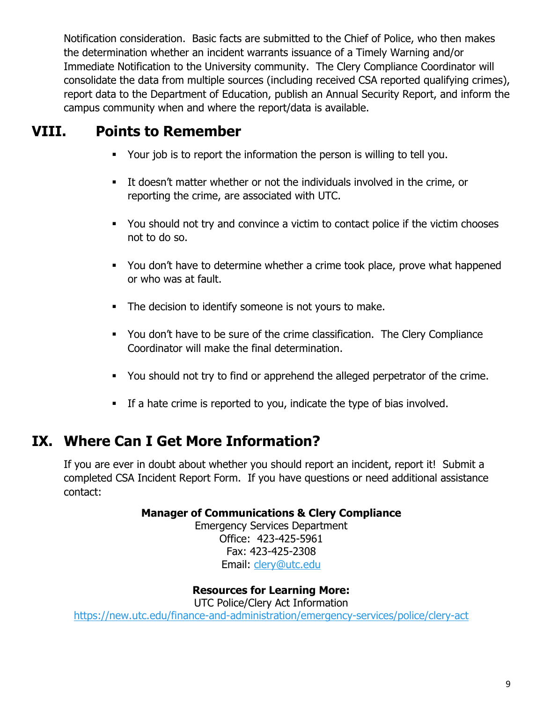Notification consideration. Basic facts are submitted to the Chief of Police, who then makes the determination whether an incident warrants issuance of a Timely Warning and/or Immediate Notification to the University community. The Clery Compliance Coordinator will consolidate the data from multiple sources (including received CSA reported qualifying crimes), report data to the Department of Education, publish an Annual Security Report, and inform the campus community when and where the report/data is available.

## **VIII. Points to Remember**

- Your job is to report the information the person is willing to tell you.
- It doesn't matter whether or not the individuals involved in the crime, or reporting the crime, are associated with UTC.
- You should not try and convince a victim to contact police if the victim chooses not to do so.
- You don't have to determine whether a crime took place, prove what happened or who was at fault.
- The decision to identify someone is not yours to make.
- You don't have to be sure of the crime classification. The Clery Compliance Coordinator will make the final determination.
- You should not try to find or apprehend the alleged perpetrator of the crime.
- If a hate crime is reported to you, indicate the type of bias involved.

## **IX. Where Can I Get More Information?**

If you are ever in doubt about whether you should report an incident, report it! Submit a completed CSA Incident Report Form. If you have questions or need additional assistance contact:

#### **Manager of Communications & Clery Compliance**

Emergency Services Department Office: 423-425-5961 Fax: 423-425-2308 Email: [clery@utc.edu](mailto:clery@utc.edu)

#### **Resources for Learning More:**

UTC Police/Clery Act Information <https://new.utc.edu/finance-and-administration/emergency-services/police/clery-act>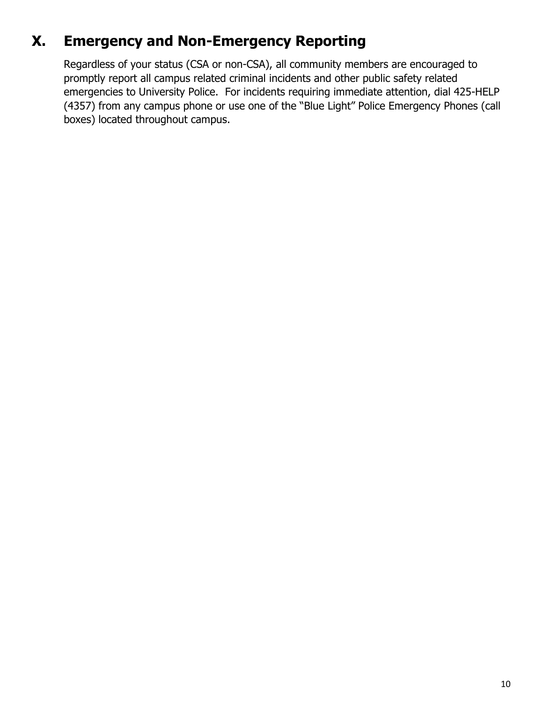## **X. Emergency and Non-Emergency Reporting**

Regardless of your status (CSA or non-CSA), all community members are encouraged to promptly report all campus related criminal incidents and other public safety related emergencies to University Police. For incidents requiring immediate attention, dial 425-HELP (4357) from any campus phone or use one of the "Blue Light" Police Emergency Phones (call boxes) located throughout campus.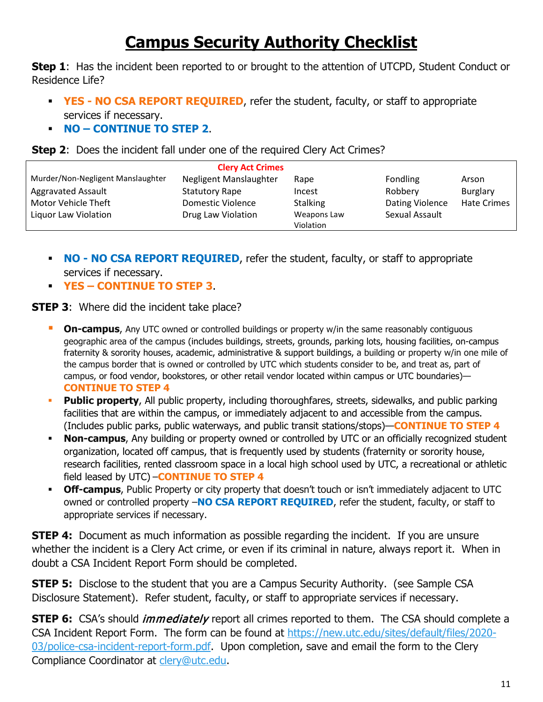## **Campus Security Authority Checklist**

**Step 1:** Has the incident been reported to or brought to the attention of UTCPD, Student Conduct or Residence Life?

- **YES NO CSA REPORT REQUIRED**, refer the student, faculty, or staff to appropriate services if necessary.
- **NO – CONTINUE TO STEP 2**.



| <b>Clery Act Crimes</b>                            |                        |                          |                        |                    |  |  |  |  |  |
|----------------------------------------------------|------------------------|--------------------------|------------------------|--------------------|--|--|--|--|--|
| Murder/Non-Negligent Manslaughter                  | Negligent Manslaughter | Rape                     | Fondling               | Arson              |  |  |  |  |  |
| <b>Aggravated Assault</b><br><b>Statutory Rape</b> |                        | Incest                   | Robbery                | Burglary           |  |  |  |  |  |
| Motor Vehicle Theft<br>Domestic Violence           |                        | <b>Stalking</b>          | <b>Dating Violence</b> | <b>Hate Crimes</b> |  |  |  |  |  |
| Liquor Law Violation                               | Drug Law Violation     | Weapons Law<br>Violation | Sexual Assault         |                    |  |  |  |  |  |

- **NO NO CSA REPORT REQUIRED, refer the student, faculty, or staff to appropriate** services if necessary.
- **YES – CONTINUE TO STEP 3**.

**STEP 3:** Where did the incident take place?

- **Dn-campus**, Any UTC owned or controlled buildings or property w/in the same reasonably contiguous geographic area of the campus (includes buildings, streets, grounds, parking lots, housing facilities, on-campus fraternity & sorority houses, academic, administrative & support buildings, a building or property w/in one mile of the campus border that is owned or controlled by UTC which students consider to be, and treat as, part of campus, or food vendor, bookstores, or other retail vendor located within campus or UTC boundaries)— **CONTINUE TO STEP 4**
- **Public property**, All public property, including thoroughfares, streets, sidewalks, and public parking facilities that are within the campus, or immediately adjacent to and accessible from the campus. (Includes public parks, public waterways, and public transit stations/stops)—**CONTINUE TO STEP 4**
- **Non-campus**, Any building or property owned or controlled by UTC or an officially recognized student organization, located off campus, that is frequently used by students (fraternity or sorority house, research facilities, rented classroom space in a local high school used by UTC, a recreational or athletic field leased by UTC) –**CONTINUE TO STEP 4**
- **Off-campus**, Public Property or city property that doesn't touch or isn't immediately adjacent to UTC owned or controlled property –**NO CSA REPORT REQUIRED**, refer the student, faculty, or staff to appropriate services if necessary.

**STEP 4:** Document as much information as possible regarding the incident. If you are unsure whether the incident is a Clery Act crime, or even if its criminal in nature, always report it. When in doubt a CSA Incident Report Form should be completed.

**STEP 5:** Disclose to the student that you are a Campus Security Authority. (see Sample CSA Disclosure Statement). Refer student, faculty, or staff to appropriate services if necessary.

**STEP 6:** CSA's should *immediately* report all crimes reported to them. The CSA should complete a CSA Incident Report Form. The form can be found at [https://new.utc.edu/sites/default/files/2020-](https://new.utc.edu/sites/default/files/2020-03/police-csa-incident-report-form.pdf) [03/police-csa-incident-report-form.pdf.](https://new.utc.edu/sites/default/files/2020-03/police-csa-incident-report-form.pdf) Upon completion, save and email the form to the Clery Compliance Coordinator at [clery@utc.edu.](mailto:clery@utc.edu)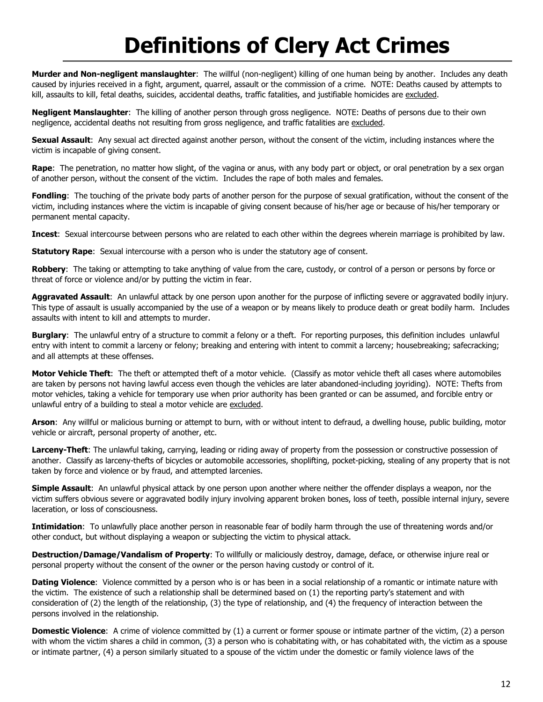## **Definitions of Clery Act Crimes**

**Murder and Non-negligent manslaughter**: The willful (non-negligent) killing of one human being by another. Includes any death caused by injuries received in a fight, argument, quarrel, assault or the commission of a crime. NOTE: Deaths caused by attempts to kill, assaults to kill, fetal deaths, suicides, accidental deaths, traffic fatalities, and justifiable homicides are excluded.

**Negligent Manslaughter**: The killing of another person through gross negligence. NOTE: Deaths of persons due to their own negligence, accidental deaths not resulting from gross negligence, and traffic fatalities are excluded.

**Sexual Assault**: Any sexual act directed against another person, without the consent of the victim, including instances where the victim is incapable of giving consent.

**Rape**: The penetration, no matter how slight, of the vagina or anus, with any body part or object, or oral penetration by a sex organ of another person, without the consent of the victim. Includes the rape of both males and females.

**Fondling**: The touching of the private body parts of another person for the purpose of sexual gratification, without the consent of the victim, including instances where the victim is incapable of giving consent because of his/her age or because of his/her temporary or permanent mental capacity.

**Incest**: Sexual intercourse between persons who are related to each other within the degrees wherein marriage is prohibited by law.

**Statutory Rape:** Sexual intercourse with a person who is under the statutory age of consent.

**Robbery**: The taking or attempting to take anything of value from the care, custody, or control of a person or persons by force or threat of force or violence and/or by putting the victim in fear.

**Aggravated Assault**: An unlawful attack by one person upon another for the purpose of inflicting severe or aggravated bodily injury. This type of assault is usually accompanied by the use of a weapon or by means likely to produce death or great bodily harm. Includes assaults with intent to kill and attempts to murder.

**Burglary**: The unlawful entry of a structure to commit a felony or a theft. For reporting purposes, this definition includes unlawful entry with intent to commit a larceny or felony; breaking and entering with intent to commit a larceny; housebreaking; safecracking; and all attempts at these offenses.

**Motor Vehicle Theft**: The theft or attempted theft of a motor vehicle. (Classify as motor vehicle theft all cases where automobiles are taken by persons not having lawful access even though the vehicles are later abandoned-including joyriding). NOTE: Thefts from motor vehicles, taking a vehicle for temporary use when prior authority has been granted or can be assumed, and forcible entry or unlawful entry of a building to steal a motor vehicle are excluded.

**Arson**: Any willful or malicious burning or attempt to burn, with or without intent to defraud, a dwelling house, public building, motor vehicle or aircraft, personal property of another, etc.

**Larceny-Theft**: The unlawful taking, carrying, leading or riding away of property from the possession or constructive possession of another. Classify as larceny-thefts of bicycles or automobile accessories, shoplifting, pocket-picking, stealing of any property that is not taken by force and violence or by fraud, and attempted larcenies.

**Simple Assault**: An unlawful physical attack by one person upon another where neither the offender displays a weapon, nor the victim suffers obvious severe or aggravated bodily injury involving apparent broken bones, loss of teeth, possible internal injury, severe laceration, or loss of consciousness.

**Intimidation**: To unlawfully place another person in reasonable fear of bodily harm through the use of threatening words and/or other conduct, but without displaying a weapon or subjecting the victim to physical attack.

**Destruction/Damage/Vandalism of Property**: To willfully or maliciously destroy, damage, deface, or otherwise injure real or personal property without the consent of the owner or the person having custody or control of it.

**Dating Violence**: Violence committed by a person who is or has been in a social relationship of a romantic or intimate nature with the victim. The existence of such a relationship shall be determined based on (1) the reporting party's statement and with consideration of (2) the length of the relationship, (3) the type of relationship, and (4) the frequency of interaction between the persons involved in the relationship.

**Domestic Violence**: A crime of violence committed by (1) a current or former spouse or intimate partner of the victim, (2) a person with whom the victim shares a child in common, (3) a person who is cohabitating with, or has cohabitated with, the victim as a spouse or intimate partner, (4) a person similarly situated to a spouse of the victim under the domestic or family violence laws of the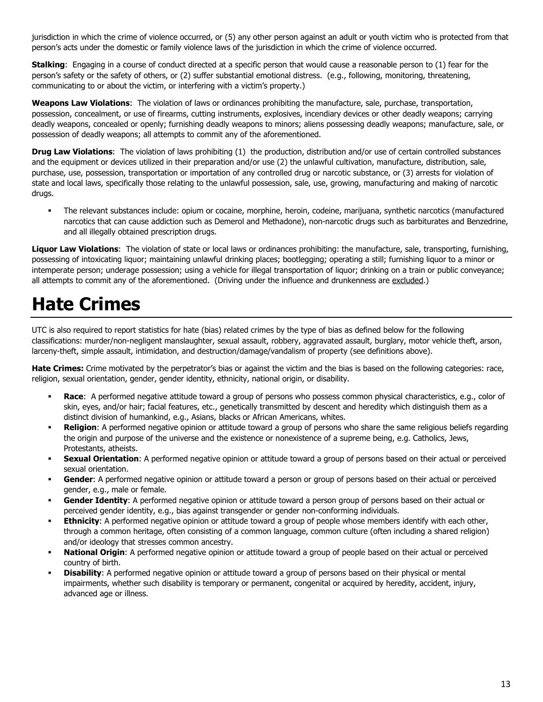jurisdiction in which the crime of violence occurred, or (5) any other person against an adult or youth victim who is protected from that person's acts under the domestic or family violence laws of the jurisdiction in which the crime of violence occurred.

**Stalking**: Engaging in a course of conduct directed at a specific person that would cause a reasonable person to (1) fear for the person's safety or the safety of others, or (2) suffer substantial emotional distress. (e.g., following, monitoring, threatening, communicating to or about the victim, or interfering with a victim's property.)

**Weapons Law Violations**: The violation of laws or ordinances prohibiting the manufacture, sale, purchase, transportation, possession, concealment, or use of firearms, cutting instruments, explosives, incendiary devices or other deadly weapons; carrying deadly weapons, concealed or openly; furnishing deadly weapons to minors; aliens possessing deadly weapons; manufacture, sale, or possession of deadly weapons; all attempts to commit any of the aforementioned.

**Drug Law Violations**: The violation of laws prohibiting (1) the production, distribution and/or use of certain controlled substances and the equipment or devices utilized in their preparation and/or use (2) the unlawful cultivation, manufacture, distribution, sale, purchase, use, possession, transportation or importation of any controlled drug or narcotic substance, or (3) arrests for violation of state and local laws, specifically those relating to the unlawful possession, sale, use, growing, manufacturing and making of narcotic drugs.

 The relevant substances include: opium or cocaine, morphine, heroin, codeine, marijuana, synthetic narcotics (manufactured narcotics that can cause addiction such as Demerol and Methadone), non-narcotic drugs such as barbiturates and Benzedrine, and all illegally obtained prescription drugs.

**Liquor Law Violations**: The violation of state or local laws or ordinances prohibiting: the manufacture, sale, transporting, furnishing, possessing of intoxicating liquor; maintaining unlawful drinking places; bootlegging; operating a still; furnishing liquor to a minor or intemperate person; underage possession; using a vehicle for illegal transportation of liquor; drinking on a train or public conveyance; all attempts to commit any of the aforementioned. (Driving under the influence and drunkenness are excluded.)

## **Hate Crimes**

UTC is also required to report statistics for hate (bias) related crimes by the type of bias as defined below for the following classifications: murder/non-negligent manslaughter, sexual assault, robbery, aggravated assault, burglary, motor vehicle theft, arson, larceny-theft, simple assault, intimidation, and destruction/damage/vandalism of property (see definitions above).

**Hate Crimes:** Crime motivated by the perpetrator's bias or against the victim and the bias is based on the following categories: race, religion, sexual orientation, gender, gender identity, ethnicity, national origin, or disability.

- **Race**: A performed negative attitude toward a group of persons who possess common physical characteristics, e.g., color of skin, eyes, and/or hair; facial features, etc., genetically transmitted by descent and heredity which distinguish them as a distinct division of humankind, e.g., Asians, blacks or African Americans, whites.
- **Religion**: A performed negative opinion or attitude toward a group of persons who share the same religious beliefs regarding the origin and purpose of the universe and the existence or nonexistence of a supreme being, e.g. Catholics, Jews, Protestants, atheists.
- **Sexual Orientation**: A performed negative opinion or attitude toward a group of persons based on their actual or perceived sexual orientation.
- **Gender**: A performed negative opinion or attitude toward a person or group of persons based on their actual or perceived gender, e.g., male or female.
- **Gender Identity**: A performed negative opinion or attitude toward a person group of persons based on their actual or perceived gender identity, e.g., bias against transgender or gender non-conforming individuals.
- **Ethnicity**: A performed negative opinion or attitude toward a group of people whose members identify with each other, through a common heritage, often consisting of a common language, common culture (often including a shared religion) and/or ideology that stresses common ancestry.
- **National Origin**: A performed negative opinion or attitude toward a group of people based on their actual or perceived country of birth.
- **Disability**: A performed negative opinion or attitude toward a group of persons based on their physical or mental impairments, whether such disability is temporary or permanent, congenital or acquired by heredity, accident, injury, advanced age or illness.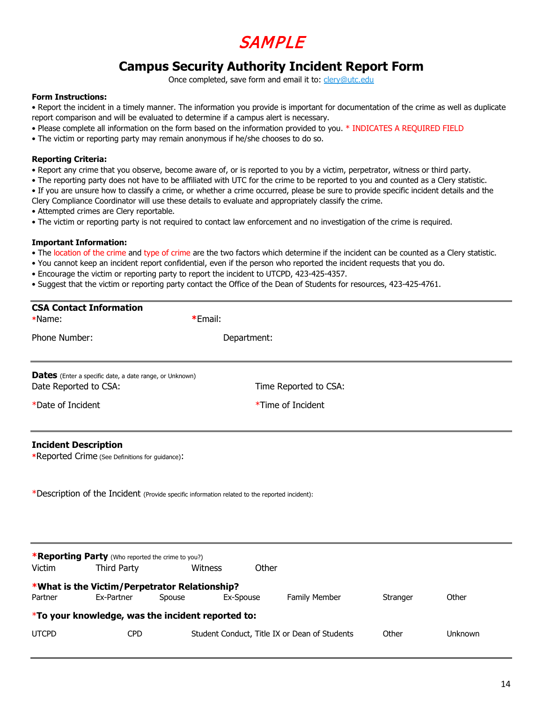## SAMPLE

#### **Campus Security Authority Incident Report Form**

Once completed, save form and email it to: [clery@utc.edu](mailto:clery@utc.edu) 

#### **Form Instructions:**

• Report the incident in a timely manner. The information you provide is important for documentation of the crime as well as duplicate report comparison and will be evaluated to determine if a campus alert is necessary.

- Please complete all information on the form based on the information provided to you. \* INDICATES A REQUIRED FIELD
- The victim or reporting party may remain anonymous if he/she chooses to do so.

#### **Reporting Criteria:**

- Report any crime that you observe, become aware of, or is reported to you by a victim, perpetrator, witness or third party.
- The reporting party does not have to be affiliated with UTC for the crime to be reported to you and counted as a Clery statistic.
- If you are unsure how to classify a crime, or whether a crime occurred, please be sure to provide specific incident details and the Clery Compliance Coordinator will use these details to evaluate and appropriately classify the crime.
- Attempted crimes are Clery reportable.
- The victim or reporting party is not required to contact law enforcement and no investigation of the crime is required.

#### **Important Information:**

**CSA Contact Information** 

- The location of the crime and type of crime are the two factors which determine if the incident can be counted as a Clery statistic.
- You cannot keep an incident report confidential, even if the person who reported the incident requests that you do.
- Encourage the victim or reporting party to report the incident to UTCPD, 423-425-4357.
- Suggest that the victim or reporting party contact the Office of the Dean of Students for resources, 423-425-4761.

| *Name:            |                                                                                                                                                                                 |         | *Email:                                       |                       |          |         |  |  |
|-------------------|---------------------------------------------------------------------------------------------------------------------------------------------------------------------------------|---------|-----------------------------------------------|-----------------------|----------|---------|--|--|
| Phone Number:     |                                                                                                                                                                                 |         | Department:                                   |                       |          |         |  |  |
|                   | <b>Dates</b> (Enter a specific date, a date range, or Unknown)<br>Date Reported to CSA:                                                                                         |         |                                               | Time Reported to CSA: |          |         |  |  |
| *Date of Incident |                                                                                                                                                                                 |         | *Time of Incident                             |                       |          |         |  |  |
|                   | <b>Incident Description</b><br>*Reported Crime (See Definitions for guidance):<br>*Description of the Incident (Provide specific information related to the reported incident): |         |                                               |                       |          |         |  |  |
|                   |                                                                                                                                                                                 |         |                                               |                       |          |         |  |  |
| Victim            | *Reporting Party (Who reported the crime to you?)<br>Third Party                                                                                                                | Witness |                                               | Other                 |          |         |  |  |
| Partner           | *What is the Victim/Perpetrator Relationship?<br>Ex-Partner                                                                                                                     | Spouse  | Ex-Spouse                                     | Family Member         | Stranger | Other   |  |  |
|                   | *To your knowledge, was the incident reported to:                                                                                                                               |         |                                               |                       |          |         |  |  |
| <b>UTCPD</b>      | <b>CPD</b>                                                                                                                                                                      |         | Student Conduct, Title IX or Dean of Students |                       | Other    | Unknown |  |  |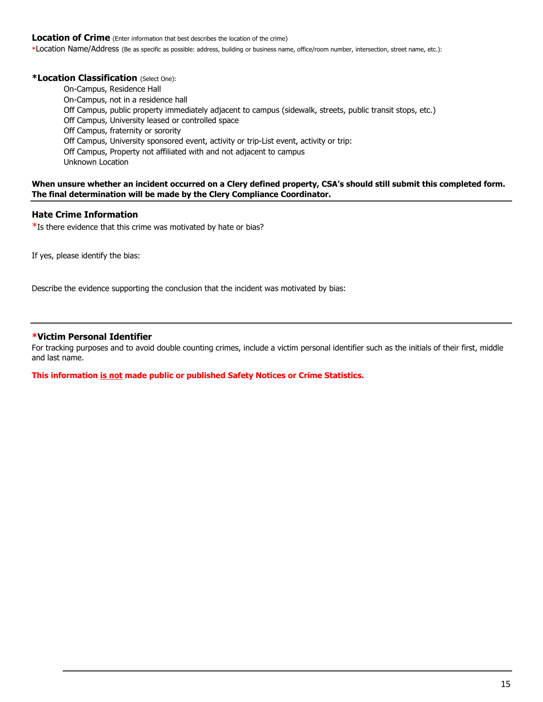#### **Location of Crime** (Enter information that best describes the location of the crime)

**\***Location Name/Address (Be as specific as possible: address, building or business name, office/room number, intersection, street name, etc.):

#### **\*Location Classification** (Select One):

On-Campus, Residence Hall On-Campus, not in a residence hall Off Campus, public property immediately adjacent to campus (sidewalk, streets, public transit stops, etc.) Off Campus, University leased or controlled space Off Campus, fraternity or sorority Off Campus, University sponsored event, activity or trip-List event, activity or trip: Off Campus, Property not affiliated with and not adjacent to campus Unknown Location

#### **When unsure whether an incident occurred on a Clery defined property, CSA's should still submit this completed form. The final determination will be made by the Clery Compliance Coordinator.**

#### **Hate Crime Information**

 $*$ Is there evidence that this crime was motivated by hate or bias?

If yes, please identify the bias:

Describe the evidence supporting the conclusion that the incident was motivated by bias:

#### **\*Victim Personal Identifier**

For tracking purposes and to avoid double counting crimes, include a victim personal identifier such as the initials of their first, middle and last name.

**This information is not made public or published Safety Notices or Crime Statistics.**